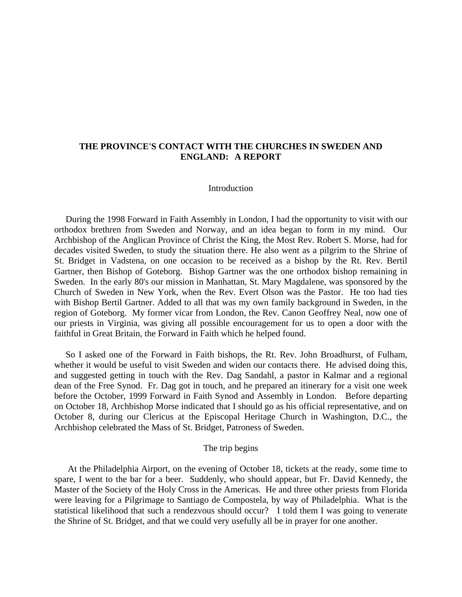# **THE PROVINCE'S CONTACT WITH THE CHURCHES IN SWEDEN AND ENGLAND: A REPORT**

## **Introduction**

During the 1998 Forward in Faith Assembly in London, I had the opportunity to visit with our orthodox brethren from Sweden and Norway, and an idea began to form in my mind. Our Archbishop of the Anglican Province of Christ the King, the Most Rev. Robert S. Morse, had for decades visited Sweden, to study the situation there. He also went as a pilgrim to the Shrine of St. Bridget in Vadstena, on one occasion to be received as a bishop by the Rt. Rev. Bertil Gartner, then Bishop of Goteborg. Bishop Gartner was the one orthodox bishop remaining in Sweden. In the early 80's our mission in Manhattan, St. Mary Magdalene, was sponsored by the Church of Sweden in New York, when the Rev. Evert Olson was the Pastor. He too had ties with Bishop Bertil Gartner. Added to all that was my own family background in Sweden, in the region of Goteborg. My former vicar from London, the Rev. Canon Geoffrey Neal, now one of our priests in Virginia, was giving all possible encouragement for us to open a door with the faithful in Great Britain, the Forward in Faith which he helped found.

 So I asked one of the Forward in Faith bishops, the Rt. Rev. John Broadhurst, of Fulham, whether it would be useful to visit Sweden and widen our contacts there. He advised doing this, and suggested getting in touch with the Rev. Dag Sandahl, a pastor in Kalmar and a regional dean of the Free Synod. Fr. Dag got in touch, and he prepared an itinerary for a visit one week before the October, 1999 Forward in Faith Synod and Assembly in London. Before departing on October 18, Archbishop Morse indicated that I should go as his official representative, and on October 8, during our Clericus at the Episcopal Heritage Church in Washington, D.C., the Archbishop celebrated the Mass of St. Bridget, Patroness of Sweden.

### The trip begins

 At the Philadelphia Airport, on the evening of October 18, tickets at the ready, some time to spare, I went to the bar for a beer. Suddenly, who should appear, but Fr. David Kennedy, the Master of the Society of the Holy Cross in the Americas. He and three other priests from Florida were leaving for a Pilgrimage to Santiago de Compostela, by way of Philadelphia. What is the statistical likelihood that such a rendezvous should occur? I told them I was going to venerate the Shrine of St. Bridget, and that we could very usefully all be in prayer for one another.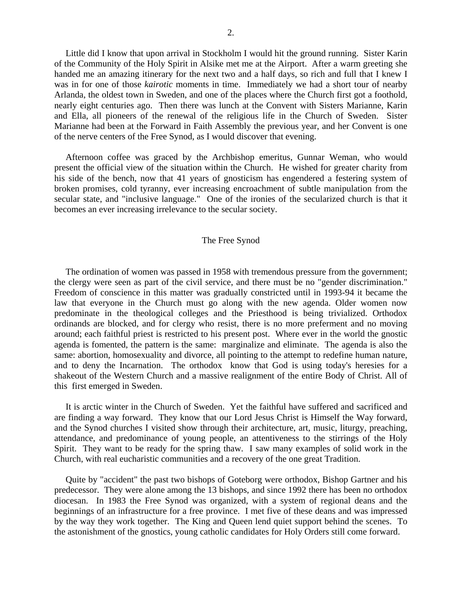Little did I know that upon arrival in Stockholm I would hit the ground running. Sister Karin of the Community of the Holy Spirit in Alsike met me at the Airport. After a warm greeting she handed me an amazing itinerary for the next two and a half days, so rich and full that I knew I was in for one of those *kairotic* moments in time. Immediately we had a short tour of nearby Arlanda, the oldest town in Sweden, and one of the places where the Church first got a foothold, nearly eight centuries ago. Then there was lunch at the Convent with Sisters Marianne, Karin and Ella, all pioneers of the renewal of the religious life in the Church of Sweden. Sister Marianne had been at the Forward in Faith Assembly the previous year, and her Convent is one of the nerve centers of the Free Synod, as I would discover that evening.

 Afternoon coffee was graced by the Archbishop emeritus, Gunnar Weman, who would present the official view of the situation within the Church. He wished for greater charity from his side of the bench, now that 41 years of gnosticism has engendered a festering system of broken promises, cold tyranny, ever increasing encroachment of subtle manipulation from the secular state, and "inclusive language." One of the ironies of the secularized church is that it becomes an ever increasing irrelevance to the secular society.

### The Free Synod

 The ordination of women was passed in 1958 with tremendous pressure from the government; the clergy were seen as part of the civil service, and there must be no "gender discrimination." Freedom of conscience in this matter was gradually constricted until in 1993-94 it became the law that everyone in the Church must go along with the new agenda. Older women now predominate in the theological colleges and the Priesthood is being trivialized. Orthodox ordinands are blocked, and for clergy who resist, there is no more preferment and no moving around; each faithful priest is restricted to his present post. Where ever in the world the gnostic agenda is fomented, the pattern is the same: marginalize and eliminate. The agenda is also the same: abortion, homosexuality and divorce, all pointing to the attempt to redefine human nature, and to deny the Incarnation. The orthodox know that God is using today's heresies for a shakeout of the Western Church and a massive realignment of the entire Body of Christ. All of this first emerged in Sweden.

 It is arctic winter in the Church of Sweden. Yet the faithful have suffered and sacrificed and are finding a way forward. They know that our Lord Jesus Christ is Himself the Way forward, and the Synod churches I visited show through their architecture, art, music, liturgy, preaching, attendance, and predominance of young people, an attentiveness to the stirrings of the Holy Spirit. They want to be ready for the spring thaw. I saw many examples of solid work in the Church, with real eucharistic communities and a recovery of the one great Tradition.

 Quite by "accident" the past two bishops of Goteborg were orthodox, Bishop Gartner and his predecessor. They were alone among the 13 bishops, and since 1992 there has been no orthodox diocesan. In 1983 the Free Synod was organized, with a system of regional deans and the beginnings of an infrastructure for a free province. I met five of these deans and was impressed by the way they work together. The King and Queen lend quiet support behind the scenes. To the astonishment of the gnostics, young catholic candidates for Holy Orders still come forward.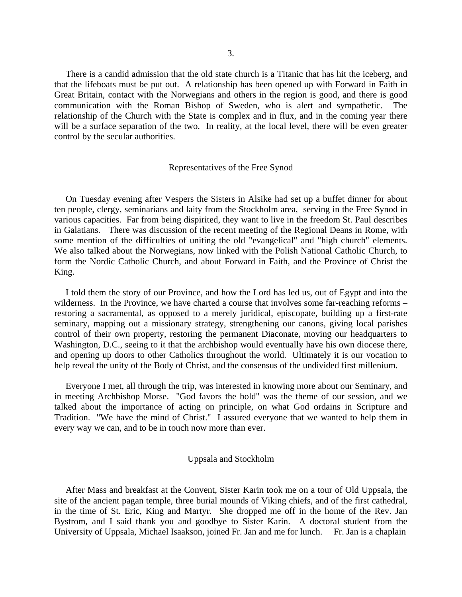There is a candid admission that the old state church is a Titanic that has hit the iceberg, and that the lifeboats must be put out. A relationship has been opened up with Forward in Faith in Great Britain, contact with the Norwegians and others in the region is good, and there is good communication with the Roman Bishop of Sweden, who is alert and sympathetic. relationship of the Church with the State is complex and in flux, and in the coming year there will be a surface separation of the two. In reality, at the local level, there will be even greater control by the secular authorities.

### Representatives of the Free Synod

 On Tuesday evening after Vespers the Sisters in Alsike had set up a buffet dinner for about ten people, clergy, seminarians and laity from the Stockholm area, serving in the Free Synod in various capacities. Far from being dispirited, they want to live in the freedom St. Paul describes in Galatians. There was discussion of the recent meeting of the Regional Deans in Rome, with some mention of the difficulties of uniting the old "evangelical" and "high church" elements. We also talked about the Norwegians, now linked with the Polish National Catholic Church, to form the Nordic Catholic Church, and about Forward in Faith, and the Province of Christ the King.

 I told them the story of our Province, and how the Lord has led us, out of Egypt and into the wilderness. In the Province, we have charted a course that involves some far-reaching reforms – restoring a sacramental, as opposed to a merely juridical, episcopate, building up a first-rate seminary, mapping out a missionary strategy, strengthening our canons, giving local parishes control of their own property, restoring the permanent Diaconate, moving our headquarters to Washington, D.C., seeing to it that the archbishop would eventually have his own diocese there, and opening up doors to other Catholics throughout the world. Ultimately it is our vocation to help reveal the unity of the Body of Christ, and the consensus of the undivided first millenium.

 Everyone I met, all through the trip, was interested in knowing more about our Seminary, and in meeting Archbishop Morse. "God favors the bold" was the theme of our session, and we talked about the importance of acting on principle, on what God ordains in Scripture and Tradition. "We have the mind of Christ." I assured everyone that we wanted to help them in every way we can, and to be in touch now more than ever.

### Uppsala and Stockholm

 After Mass and breakfast at the Convent, Sister Karin took me on a tour of Old Uppsala, the site of the ancient pagan temple, three burial mounds of Viking chiefs, and of the first cathedral, in the time of St. Eric, King and Martyr. She dropped me off in the home of the Rev. Jan Bystrom, and I said thank you and goodbye to Sister Karin. A doctoral student from the University of Uppsala, Michael Isaakson, joined Fr. Jan and me for lunch. Fr. Jan is a chaplain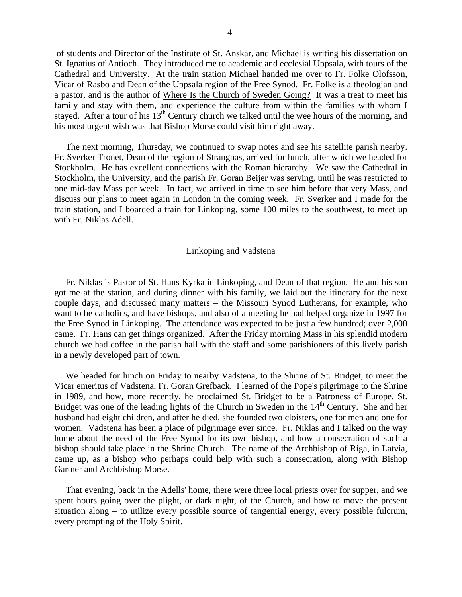of students and Director of the Institute of St. Anskar, and Michael is writing his dissertation on St. Ignatius of Antioch. They introduced me to academic and ecclesial Uppsala, with tours of the Cathedral and University. At the train station Michael handed me over to Fr. Folke Olofsson, Vicar of Rasbo and Dean of the Uppsala region of the Free Synod. Fr. Folke is a theologian and a pastor, and is the author of Where Is the Church of Sweden Going? It was a treat to meet his family and stay with them, and experience the culture from within the families with whom I stayed. After a tour of his  $13<sup>th</sup>$  Century church we talked until the wee hours of the morning, and his most urgent wish was that Bishop Morse could visit him right away.

 The next morning, Thursday, we continued to swap notes and see his satellite parish nearby. Fr. Sverker Tronet, Dean of the region of Strangnas, arrived for lunch, after which we headed for Stockholm. He has excellent connections with the Roman hierarchy. We saw the Cathedral in Stockholm, the University, and the parish Fr. Goran Beijer was serving, until he was restricted to one mid-day Mass per week. In fact, we arrived in time to see him before that very Mass, and discuss our plans to meet again in London in the coming week. Fr. Sverker and I made for the train station, and I boarded a train for Linkoping, some 100 miles to the southwest, to meet up with Fr. Niklas Adell.

#### Linkoping and Vadstena

 Fr. Niklas is Pastor of St. Hans Kyrka in Linkoping, and Dean of that region. He and his son got me at the station, and during dinner with his family, we laid out the itinerary for the next couple days, and discussed many matters – the Missouri Synod Lutherans, for example, who want to be catholics, and have bishops, and also of a meeting he had helped organize in 1997 for the Free Synod in Linkoping. The attendance was expected to be just a few hundred; over 2,000 came. Fr. Hans can get things organized. After the Friday morning Mass in his splendid modern church we had coffee in the parish hall with the staff and some parishioners of this lively parish in a newly developed part of town.

 We headed for lunch on Friday to nearby Vadstena, to the Shrine of St. Bridget, to meet the Vicar emeritus of Vadstena, Fr. Goran Grefback. I learned of the Pope's pilgrimage to the Shrine in 1989, and how, more recently, he proclaimed St. Bridget to be a Patroness of Europe. St. Bridget was one of the leading lights of the Church in Sweden in the  $14<sup>th</sup>$  Century. She and her husband had eight children, and after he died, she founded two cloisters, one for men and one for women. Vadstena has been a place of pilgrimage ever since. Fr. Niklas and I talked on the way home about the need of the Free Synod for its own bishop, and how a consecration of such a bishop should take place in the Shrine Church. The name of the Archbishop of Riga, in Latvia, came up, as a bishop who perhaps could help with such a consecration, along with Bishop Gartner and Archbishop Morse.

 That evening, back in the Adells' home, there were three local priests over for supper, and we spent hours going over the plight, or dark night, of the Church, and how to move the present situation along – to utilize every possible source of tangential energy, every possible fulcrum, every prompting of the Holy Spirit.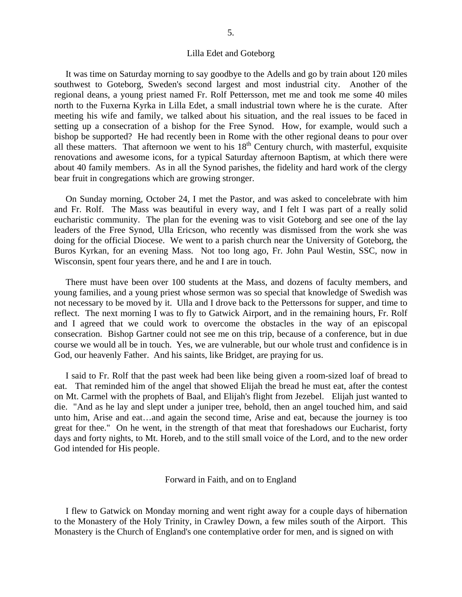### Lilla Edet and Goteborg

 It was time on Saturday morning to say goodbye to the Adells and go by train about 120 miles southwest to Goteborg, Sweden's second largest and most industrial city. Another of the regional deans, a young priest named Fr. Rolf Pettersson, met me and took me some 40 miles north to the Fuxerna Kyrka in Lilla Edet, a small industrial town where he is the curate. After meeting his wife and family, we talked about his situation, and the real issues to be faced in setting up a consecration of a bishop for the Free Synod. How, for example, would such a bishop be supported? He had recently been in Rome with the other regional deans to pour over all these matters. That afternoon we went to his  $18<sup>th</sup>$  Century church, with masterful, exquisite renovations and awesome icons, for a typical Saturday afternoon Baptism, at which there were about 40 family members. As in all the Synod parishes, the fidelity and hard work of the clergy bear fruit in congregations which are growing stronger.

 On Sunday morning, October 24, I met the Pastor, and was asked to concelebrate with him and Fr. Rolf. The Mass was beautiful in every way, and I felt I was part of a really solid eucharistic community. The plan for the evening was to visit Goteborg and see one of the lay leaders of the Free Synod, Ulla Ericson, who recently was dismissed from the work she was doing for the official Diocese. We went to a parish church near the University of Goteborg, the Buros Kyrkan, for an evening Mass. Not too long ago, Fr. John Paul Westin, SSC, now in Wisconsin, spent four years there, and he and I are in touch.

 There must have been over 100 students at the Mass, and dozens of faculty members, and young families, and a young priest whose sermon was so special that knowledge of Swedish was not necessary to be moved by it. Ulla and I drove back to the Petterssons for supper, and time to reflect. The next morning I was to fly to Gatwick Airport, and in the remaining hours, Fr. Rolf and I agreed that we could work to overcome the obstacles in the way of an episcopal consecration. Bishop Gartner could not see me on this trip, because of a conference, but in due course we would all be in touch. Yes, we are vulnerable, but our whole trust and confidence is in God, our heavenly Father. And his saints, like Bridget, are praying for us.

 I said to Fr. Rolf that the past week had been like being given a room-sized loaf of bread to eat. That reminded him of the angel that showed Elijah the bread he must eat, after the contest on Mt. Carmel with the prophets of Baal, and Elijah's flight from Jezebel. Elijah just wanted to die. "And as he lay and slept under a juniper tree, behold, then an angel touched him, and said unto him, Arise and eat…and again the second time, Arise and eat, because the journey is too great for thee." On he went, in the strength of that meat that foreshadows our Eucharist, forty days and forty nights, to Mt. Horeb, and to the still small voice of the Lord, and to the new order God intended for His people.

#### Forward in Faith, and on to England

 I flew to Gatwick on Monday morning and went right away for a couple days of hibernation to the Monastery of the Holy Trinity, in Crawley Down, a few miles south of the Airport. This Monastery is the Church of England's one contemplative order for men, and is signed on with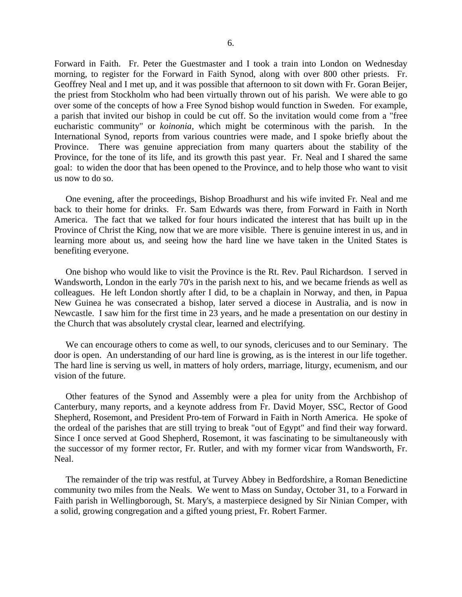Forward in Faith. Fr. Peter the Guestmaster and I took a train into London on Wednesday morning, to register for the Forward in Faith Synod, along with over 800 other priests. Fr. Geoffrey Neal and I met up, and it was possible that afternoon to sit down with Fr. Goran Beijer, the priest from Stockholm who had been virtually thrown out of his parish. We were able to go over some of the concepts of how a Free Synod bishop would function in Sweden. For example, a parish that invited our bishop in could be cut off. So the invitation would come from a "free eucharistic community" or *koinonia,* which might be coterminous with the parish. In the International Synod, reports from various countries were made, and I spoke briefly about the Province. There was genuine appreciation from many quarters about the stability of the Province, for the tone of its life, and its growth this past year. Fr. Neal and I shared the same goal: to widen the door that has been opened to the Province, and to help those who want to visit us now to do so.

 One evening, after the proceedings, Bishop Broadhurst and his wife invited Fr. Neal and me back to their home for drinks. Fr. Sam Edwards was there, from Forward in Faith in North America. The fact that we talked for four hours indicated the interest that has built up in the Province of Christ the King, now that we are more visible. There is genuine interest in us, and in learning more about us, and seeing how the hard line we have taken in the United States is benefiting everyone.

 One bishop who would like to visit the Province is the Rt. Rev. Paul Richardson. I served in Wandsworth, London in the early 70's in the parish next to his, and we became friends as well as colleagues. He left London shortly after I did, to be a chaplain in Norway, and then, in Papua New Guinea he was consecrated a bishop, later served a diocese in Australia, and is now in Newcastle. I saw him for the first time in 23 years, and he made a presentation on our destiny in the Church that was absolutely crystal clear, learned and electrifying.

 We can encourage others to come as well, to our synods, clericuses and to our Seminary. The door is open. An understanding of our hard line is growing, as is the interest in our life together. The hard line is serving us well, in matters of holy orders, marriage, liturgy, ecumenism, and our vision of the future.

 Other features of the Synod and Assembly were a plea for unity from the Archbishop of Canterbury, many reports, and a keynote address from Fr. David Moyer, SSC, Rector of Good Shepherd, Rosemont, and President Pro-tem of Forward in Faith in North America. He spoke of the ordeal of the parishes that are still trying to break "out of Egypt" and find their way forward. Since I once served at Good Shepherd, Rosemont, it was fascinating to be simultaneously with the successor of my former rector, Fr. Rutler, and with my former vicar from Wandsworth, Fr. Neal.

 The remainder of the trip was restful, at Turvey Abbey in Bedfordshire, a Roman Benedictine community two miles from the Neals. We went to Mass on Sunday, October 31, to a Forward in Faith parish in Wellingborough, St. Mary's, a masterpiece designed by Sir Ninian Comper, with a solid, growing congregation and a gifted young priest, Fr. Robert Farmer.